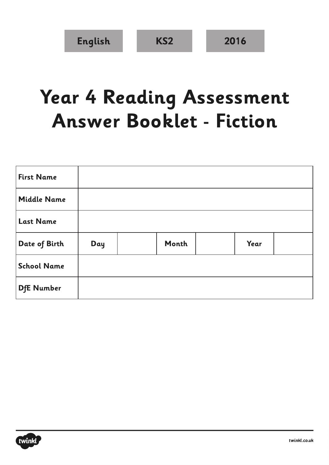## **Year 4 Reading Assessment Answer Booklet - Fiction**

| <b>First Name</b>  |     |       |      |  |
|--------------------|-----|-------|------|--|
| <b>Middle Name</b> |     |       |      |  |
| <b>Last Name</b>   |     |       |      |  |
| Date of Birth      | Day | Month | Year |  |
| <b>School Name</b> |     |       |      |  |
| <b>DfE</b> Number  |     |       |      |  |

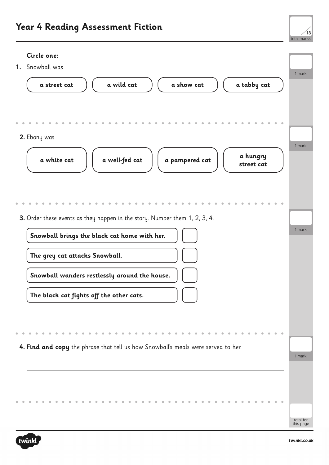## **Year 4 Reading Assessment Fiction**



## **Circle one:**

1 mark **1.** Snowball was **a street cat a wild cat a show cat a tabby cat** 1 mark **2.** Ebony was **a white cat a well-fed cat a pampered cat a hungry street cat** 1 mark **3.** Order these events as they happen in the story. Number them 1, 2, 3, 4. **Snowball brings the black cat home with her. The grey cat attacks Snowball. Snowball wanders restlessly around the house. The black cat fights off the other cats.** 1 mark **4. Find and copy** the phrase that tell us how Snowball's meals were served to her.



total for this page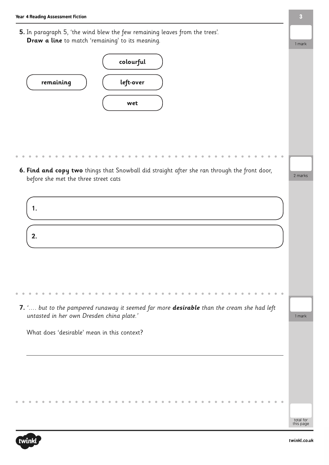**5.** In paragraph 5, 'the wind blew the few remaining leaves from the trees'. **Draw a line** to match 'remaining' to its meaning.



**6. Find and copy two** things that Snowball did straight after she ran through the front door, before she met the three street cats



| 7. ' but to the pampered runaway it seemed far more <b>desirable</b> than the cream she had left |  |
|--------------------------------------------------------------------------------------------------|--|
| untasted in her own Dresden china plate.'                                                        |  |

What does 'desirable' mean in this context?



total for this page

1 mark

1 mark

2 marks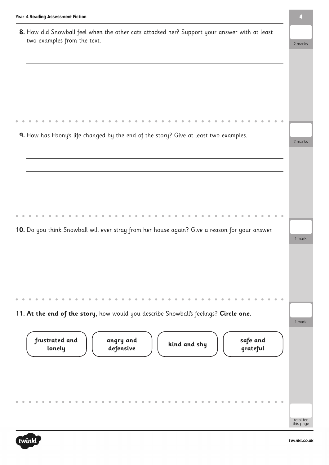| 8. How did Snowball feel when the other cats attacked her? Support your answer with at least   |         |
|------------------------------------------------------------------------------------------------|---------|
|                                                                                                |         |
| two examples from the text.                                                                    | 2 marks |
|                                                                                                |         |
|                                                                                                |         |
|                                                                                                |         |
|                                                                                                |         |
|                                                                                                |         |
|                                                                                                |         |
|                                                                                                |         |
|                                                                                                |         |
| 9. How has Ebony's life changed by the end of the story? Give at least two examples.           |         |
|                                                                                                | 2 marks |
|                                                                                                |         |
|                                                                                                |         |
|                                                                                                |         |
|                                                                                                |         |
|                                                                                                |         |
|                                                                                                |         |
|                                                                                                |         |
|                                                                                                |         |
|                                                                                                |         |
| 10. Do you think Snowball will ever stray from her house again? Give a reason for your answer. |         |
|                                                                                                | 1 mark  |
|                                                                                                |         |
|                                                                                                |         |
|                                                                                                |         |
|                                                                                                |         |
|                                                                                                |         |
|                                                                                                |         |
|                                                                                                |         |
|                                                                                                |         |
|                                                                                                |         |
|                                                                                                |         |
| 11. At the end of the story, how would you describe Snowball's feelings? Circle one.           |         |
| frustrated and<br>safe and<br>angry and                                                        |         |
| kind and shy<br>lonely<br>grateful<br>defensive                                                |         |
|                                                                                                |         |
|                                                                                                |         |
|                                                                                                |         |
|                                                                                                |         |
|                                                                                                | 1 mark  |
|                                                                                                |         |
|                                                                                                |         |



**4**